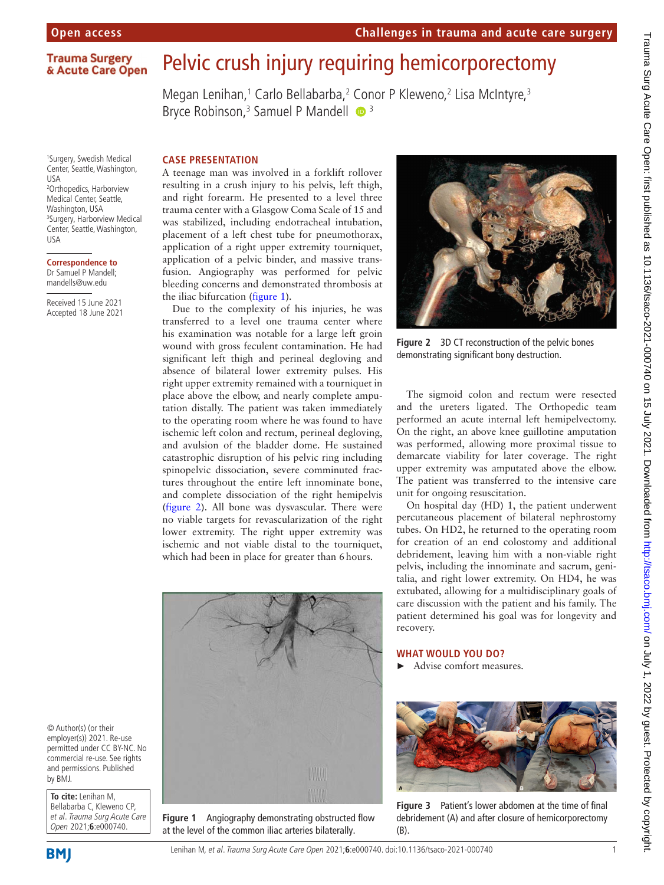## **Trauma Surgery** & Acute Care Open

1 Surgery, Swedish Medical Center, Seattle, Washington, USA 2 Orthopedics, Harborview Medical Center, Seattle, Washington, USA 3 Surgery, Harborview Medical Center, Seattle, Washington, USA

**Correspondence to** Dr Samuel P Mandell; mandells@uw.edu

Received 15 June 2021 Accepted 18 June 2021

# Pelvic crush injury requiring hemicorporectomy

Megan Lenihan,<sup>1</sup> Carlo Bellabarba,<sup>2</sup> Conor P Kleweno,<sup>2</sup> Lisa McIntyre,<sup>3</sup> Bryce Robinson,<sup>3</sup> Samuel P Mandell <sup>1</sup>

#### **CASE PRESENTATION**

A teenage man was involved in a forklift rollover resulting in a crush injury to his pelvis, left thigh, and right forearm. He presented to a level three trauma center with a Glasgow Coma Scale of 15 and was stabilized, including endotracheal intubation, placement of a left chest tube for pneumothorax, application of a right upper extremity tourniquet, application of a pelvic binder, and massive transfusion. Angiography was performed for pelvic bleeding concerns and demonstrated thrombosis at the iliac bifurcation [\(figure](#page-0-0) 1).

Due to the complexity of his injuries, he was transferred to a level one trauma center where his examination was notable for a large left groin wound with gross feculent contamination. He had significant left thigh and perineal degloving and absence of bilateral lower extremity pulses. His right upper extremity remained with a tourniquet in place above the elbow, and nearly complete amputation distally. The patient was taken immediately to the operating room where he was found to have ischemic left colon and rectum, perineal degloving, and avulsion of the bladder dome. He sustained catastrophic disruption of his pelvic ring including spinopelvic dissociation, severe comminuted fractures throughout the entire left innominate bone, and complete dissociation of the right hemipelvis ([figure](#page-0-1) 2). All bone was dysvascular. There were no viable targets for revascularization of the right lower extremity. The right upper extremity was ischemic and not viable distal to the tourniquet, which had been in place for greater than 6hours.



**Figure 1** Angiography demonstrating obstructed flow at the level of the common iliac arteries bilaterally.



**Figure 2** 3D CT reconstruction of the pelvic bones demonstrating significant bony destruction.

<span id="page-0-1"></span>The sigmoid colon and rectum were resected and the ureters ligated. The Orthopedic team performed an acute internal left hemipelvectomy. On the right, an above knee guillotine amputation was performed, allowing more proximal tissue to demarcate viability for later coverage. The right upper extremity was amputated above the elbow. The patient was transferred to the intensive care unit for ongoing resuscitation.

On hospital day (HD) 1, the patient underwent percutaneous placement of bilateral nephrostomy tubes. On HD2, he returned to the operating room for creation of an end colostomy and additional debridement, leaving him with a non-viable right pelvis, including the innominate and sacrum, genitalia, and right lower extremity. On HD4, he was extubated, allowing for a multidisciplinary goals of care discussion with the patient and his family. The patient determined his goal was for longevity and recovery.

## **WHAT WOULD YOU DO?**

► Advise comfort measures.

<span id="page-0-2"></span>

**Figure 3** Patient's lower abdomen at the time of final debridement (A) and after closure of hemicorporectomy (B).

Trauma Surg Acute Care Open: first published as 10.1136/tsaco-2021-000740 on 15 July 2021. Downloaded from http://tsaco.bmj.com/ on July 1, 2022 by guest. Protected by copyright Trauma Surg Acute Care Open: first published as 10.1136/tsaco-2021-000740 on 15 July 2021. Downloaded from <http://tsaco.bmj.com/> on 19.21 by guest. Protected by copyright.

© Author(s) (or their employer(s)) 2021. Re-use permitted under CC BY-NC. No commercial re-use. See rights and permissions. Published by BMJ.

<span id="page-0-0"></span>**To cite:** Lenihan M, Bellabarba C, Kleweno CP, et al. Trauma Surg Acute Care Open 2021;**6**:e000740.